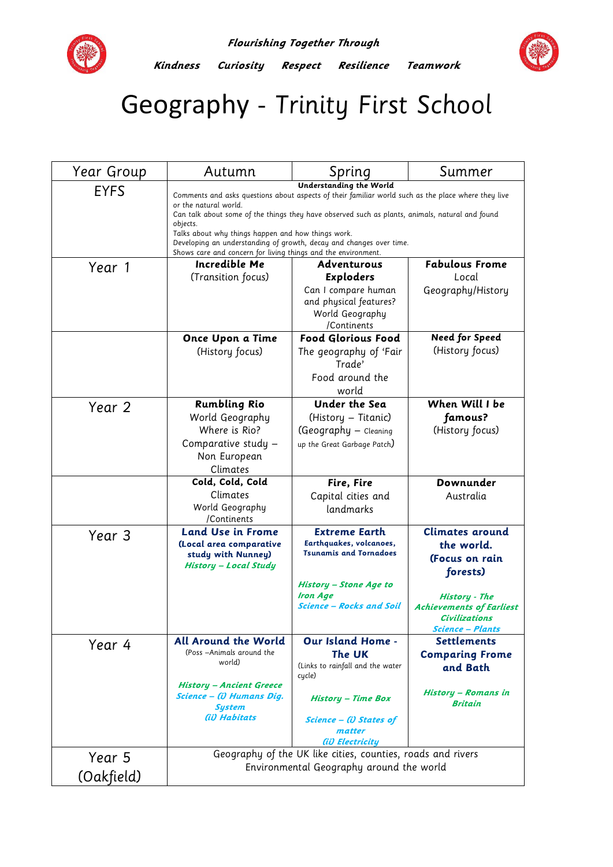

**Kindness Curiosity Respect Resilience Teamwork** 



## Geography - Trinity First School

| Year Group  | Autumn                                                                                                                                                  | Spring                                                      | Summer                                                  |  |
|-------------|---------------------------------------------------------------------------------------------------------------------------------------------------------|-------------------------------------------------------------|---------------------------------------------------------|--|
| <b>EYFS</b> | Understanding the World<br>Comments and asks questions about aspects of their familiar world such as the place where they live<br>or the natural world. |                                                             |                                                         |  |
|             | Can talk about some of the things they have observed such as plants, animals, natural and found<br>objects.                                             |                                                             |                                                         |  |
|             | Talks about why things happen and how things work.<br>Developing an understanding of growth, decay and changes over time.                               |                                                             |                                                         |  |
|             | Shows care and concern for living things and the environment.                                                                                           |                                                             |                                                         |  |
| Year 1      | Incredible Me                                                                                                                                           | <b>Adventurous</b>                                          | <b>Fabulous Frome</b>                                   |  |
|             | (Transition focus)                                                                                                                                      | <b>Exploders</b>                                            | Local                                                   |  |
|             |                                                                                                                                                         | Can I compare human                                         | Geography/History                                       |  |
|             |                                                                                                                                                         | and physical features?<br>World Geography                   |                                                         |  |
|             |                                                                                                                                                         | /Continents                                                 |                                                         |  |
|             | Once Upon a Time                                                                                                                                        | <b>Food Glorious Food</b>                                   | <b>Need for Speed</b>                                   |  |
|             | (History focus)                                                                                                                                         | The geography of 'Fair                                      | (History focus)                                         |  |
|             |                                                                                                                                                         | Trade'                                                      |                                                         |  |
|             |                                                                                                                                                         | Food around the                                             |                                                         |  |
|             |                                                                                                                                                         | world                                                       |                                                         |  |
| Year 2      | <b>Rumbling Rio</b>                                                                                                                                     | <b>Under the Sea</b>                                        | When Will I be                                          |  |
|             | World Geography                                                                                                                                         | (History – Titanic)                                         | famous?                                                 |  |
|             | Where is Rio?                                                                                                                                           | (Geography - Cleaning                                       | (History focus)                                         |  |
|             | Comparative study -                                                                                                                                     | up the Great Garbage Patch)                                 |                                                         |  |
|             | Non European                                                                                                                                            |                                                             |                                                         |  |
|             | Climates                                                                                                                                                |                                                             |                                                         |  |
|             |                                                                                                                                                         |                                                             |                                                         |  |
|             | Cold, Cold, Cold                                                                                                                                        | Fire, Fire                                                  | Downunder                                               |  |
|             | Climates                                                                                                                                                | Capital cities and                                          | Australia                                               |  |
|             | World Geography<br>/Continents                                                                                                                          | landmarks                                                   |                                                         |  |
|             | <b>Land Use in Frome</b>                                                                                                                                | <b>Extreme Earth</b>                                        | <b>Climates around</b>                                  |  |
| Year 3      | (Local area comparative                                                                                                                                 | Earthquakes, volcanoes,                                     | the world.                                              |  |
|             | study with Nunney)                                                                                                                                      | <b>Tsunamis and Tornadoes</b>                               | (Focus on rain                                          |  |
|             | <b>History - Local Study</b>                                                                                                                            |                                                             | forests)                                                |  |
|             |                                                                                                                                                         | <b>History - Stone Age to</b>                               |                                                         |  |
|             |                                                                                                                                                         | <b>Iron Age</b>                                             | History - The                                           |  |
|             |                                                                                                                                                         | Science – Rocks and Soil                                    | <b>Achievements of Earliest</b><br><b>Civilizations</b> |  |
|             |                                                                                                                                                         |                                                             | <b>Science - Plants</b>                                 |  |
| Year 4      | <b>All Around the World</b>                                                                                                                             | Our Island Home -                                           | <b>Settlements</b>                                      |  |
|             | (Poss -Animals around the                                                                                                                               | The UK                                                      | <b>Comparing Frome</b>                                  |  |
|             | world)                                                                                                                                                  | (Links to rainfall and the water<br>cycle)                  | and Bath                                                |  |
|             | <b>History - Ancient Greece</b><br>Science - (i) Humans Dig.<br><b>System</b>                                                                           | <b>History - Time Box</b>                                   | <b>History - Romans in</b><br><b>Britain</b>            |  |
|             | (ii) Habitats                                                                                                                                           | Science - (i) States of<br>matter                           |                                                         |  |
|             |                                                                                                                                                         | (ii) Electricitu                                            |                                                         |  |
| Year 5      |                                                                                                                                                         | Geography of the UK like cities, counties, roads and rivers |                                                         |  |
| (Oakfield)  |                                                                                                                                                         | Environmental Geography around the world                    |                                                         |  |